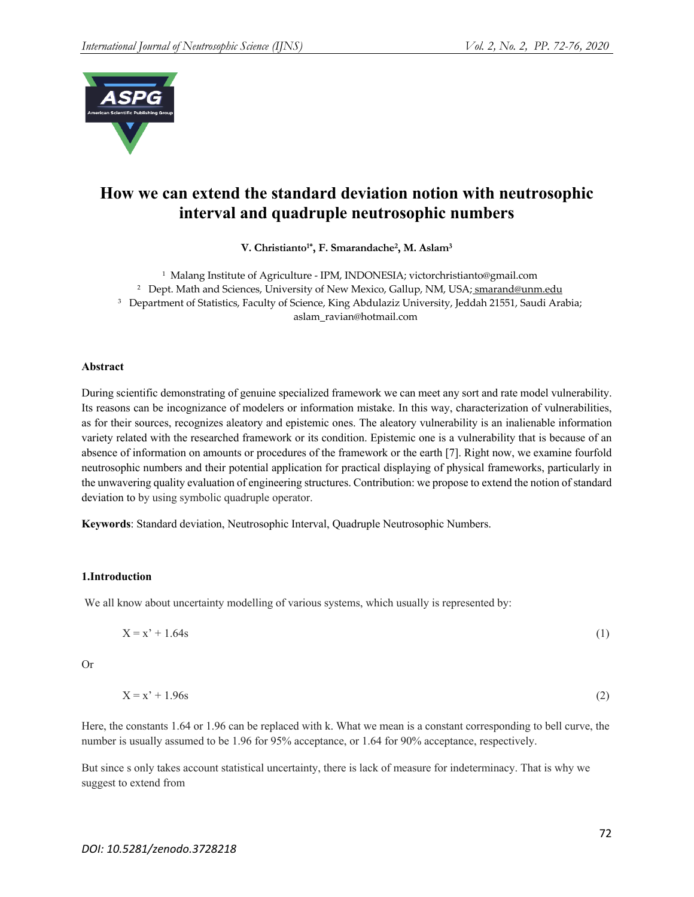

# **How we can extend the standard deviation notion with neutrosophic interval and quadruple neutrosophic numbers**

**V. Christianto1\*, F. Smarandache2, M. Aslam3**

1 Malang Institute of Agriculture - IPM, INDONESIA; victorchristianto@gmail.com

<sup>2</sup> Dept. Math and Sciences, University of New Mexico, Gallup, NM, USA; smarand@unm.edu

<sup>3</sup> Department of Statistics, Faculty of Science, King Abdulaziz University, Jeddah 21551, Saudi Arabia;

aslam\_ravian@hotmail.com

## **Abstract**

During scientific demonstrating of genuine specialized framework we can meet any sort and rate model vulnerability. Its reasons can be incognizance of modelers or information mistake. In this way, characterization of vulnerabilities, as for their sources, recognizes aleatory and epistemic ones. The aleatory vulnerability is an inalienable information variety related with the researched framework or its condition. Epistemic one is a vulnerability that is because of an absence of information on amounts or procedures of the framework or the earth [7]. Right now, we examine fourfold neutrosophic numbers and their potential application for practical displaying of physical frameworks, particularly in the unwavering quality evaluation of engineering structures. Contribution: we propose to extend the notion of standard deviation to by using symbolic quadruple operator.

**Keywords**: Standard deviation, Neutrosophic Interval, Quadruple Neutrosophic Numbers.

## **1.Introduction**

We all know about uncertainty modelling of various systems, which usually is represented by:

$$
X = x' + 1.64s \tag{1}
$$

Or

$$
X = x' + 1.96s \tag{2}
$$

Here, the constants 1.64 or 1.96 can be replaced with k. What we mean is a constant corresponding to bell curve, the number is usually assumed to be 1.96 for 95% acceptance, or 1.64 for 90% acceptance, respectively.

But since s only takes account statistical uncertainty, there is lack of measure for indeterminacy. That is why we suggest to extend from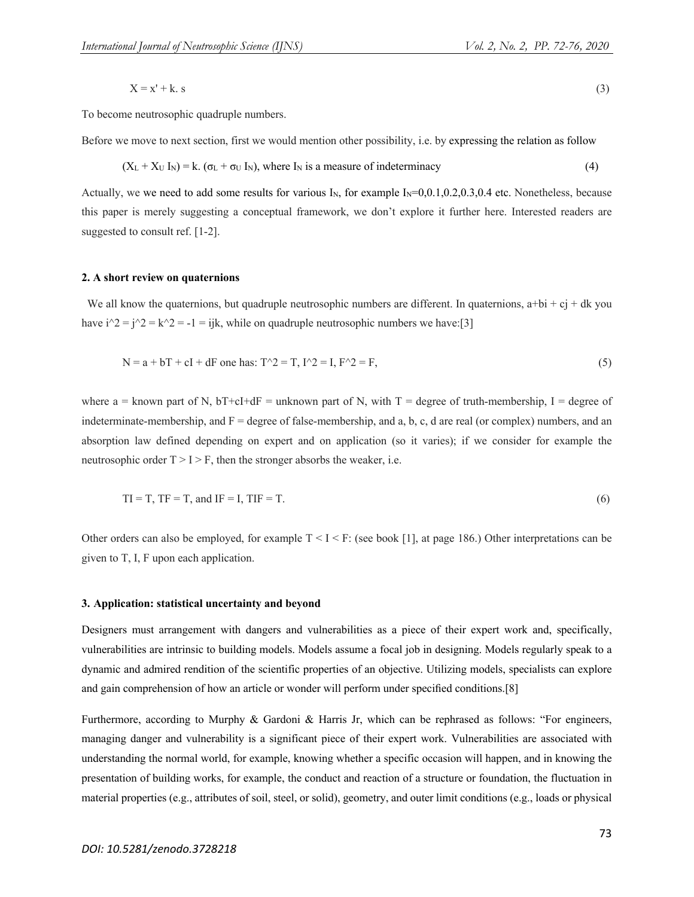$$
X = x' + k. s \tag{3}
$$

To become neutrosophic quadruple numbers.

Before we move to next section, first we would mention other possibility, i.e. by expressing the relation as follow

$$
(XL + XU IN) = k. (\sigmaL + \sigmaU IN), where IN is a measure of indeterminacy
$$
\n(4)

Actually, we we need to add some results for various  $I_N$ , for example  $I_N=0,0.1,0.2,0.3,0.4$  etc. Nonetheless, because this paper is merely suggesting a conceptual framework, we don't explore it further here. Interested readers are suggested to consult ref. [1-2].

#### **2. A short review on quaternions**

We all know the quaternions, but quadruple neutrosophic numbers are different. In quaternions,  $a+bi + cj + dk$  you have  $i^2 = i^2 = k^2 = -1 = ijk$ , while on quadruple neutrosophic numbers we have:[3]

$$
N = a + bT + cI + dF
$$
 one has: 
$$
T^2 = T, I^2 = I, F^2 = F,
$$
 (5)

where a = known part of N, bT+cI+dF = unknown part of N, with  $T =$  degree of truth-membership, I = degree of indeterminate-membership, and  $F =$  degree of false-membership, and a, b, c, d are real (or complex) numbers, and an absorption law defined depending on expert and on application (so it varies); if we consider for example the neutrosophic order  $T > I > F$ , then the stronger absorbs the weaker, i.e.

$$
TI = T, TF = T, and IF = I, TIF = T.
$$
\n
$$
(6)
$$

Other orders can also be employed, for example  $T \leq I \leq F$ : (see book [1], at page 186.) Other interpretations can be given to T, I, F upon each application.

### **3. Application: statistical uncertainty and beyond**

Designers must arrangement with dangers and vulnerabilities as a piece of their expert work and, specifically, vulnerabilities are intrinsic to building models. Models assume a focal job in designing. Models regularly speak to a dynamic and admired rendition of the scientific properties of an objective. Utilizing models, specialists can explore and gain comprehension of how an article or wonder will perform under specified conditions.[8]

Furthermore, according to Murphy & Gardoni & Harris Jr, which can be rephrased as follows: "For engineers, managing danger and vulnerability is a significant piece of their expert work. Vulnerabilities are associated with understanding the normal world, for example, knowing whether a specific occasion will happen, and in knowing the presentation of building works, for example, the conduct and reaction of a structure or foundation, the fluctuation in material properties (e.g., attributes of soil, steel, or solid), geometry, and outer limit conditions (e.g., loads or physical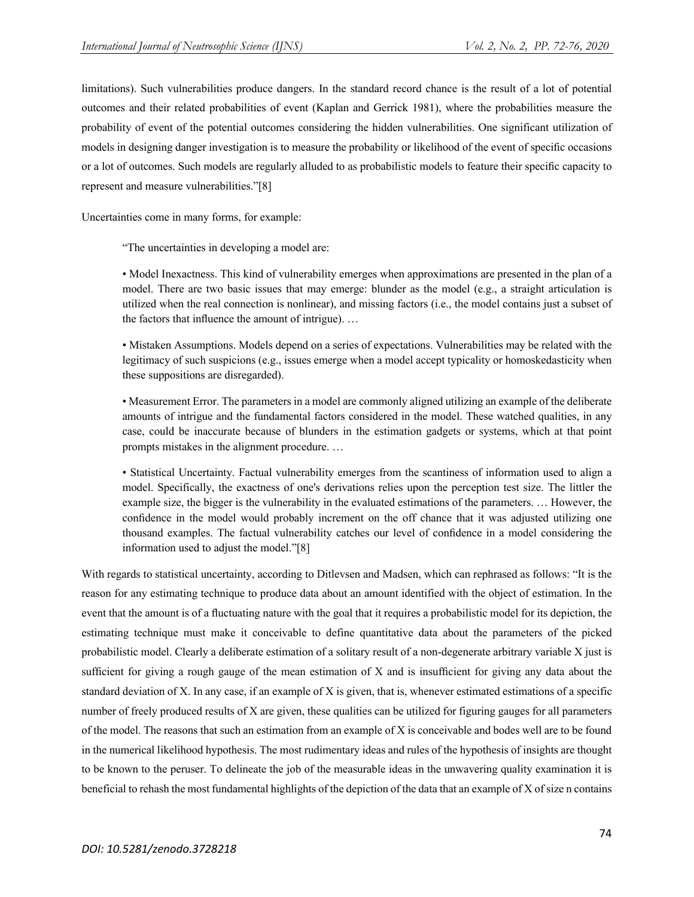limitations). Such vulnerabilities produce dangers. In the standard record chance is the result of a lot of potential outcomes and their related probabilities of event (Kaplan and Gerrick 1981), where the probabilities measure the probability of event of the potential outcomes considering the hidden vulnerabilities. One significant utilization of models in designing danger investigation is to measure the probability or likelihood of the event of specific occasions or a lot of outcomes. Such models are regularly alluded to as probabilistic models to feature their specific capacity to represent and measure vulnerabilities."[8]

Uncertainties come in many forms, for example:

"The uncertainties in developing a model are:

• Model Inexactness. This kind of vulnerability emerges when approximations are presented in the plan of a model. There are two basic issues that may emerge: blunder as the model (e.g., a straight articulation is utilized when the real connection is nonlinear), and missing factors (i.e., the model contains just a subset of the factors that influence the amount of intrigue). …

• Mistaken Assumptions. Models depend on a series of expectations. Vulnerabilities may be related with the legitimacy of such suspicions (e.g., issues emerge when a model accept typicality or homoskedasticity when these suppositions are disregarded).

• Measurement Error. The parameters in a model are commonly aligned utilizing an example of the deliberate amounts of intrigue and the fundamental factors considered in the model. These watched qualities, in any case, could be inaccurate because of blunders in the estimation gadgets or systems, which at that point prompts mistakes in the alignment procedure. …

• Statistical Uncertainty. Factual vulnerability emerges from the scantiness of information used to align a model. Specifically, the exactness of one's derivations relies upon the perception test size. The littler the example size, the bigger is the vulnerability in the evaluated estimations of the parameters. … However, the confidence in the model would probably increment on the off chance that it was adjusted utilizing one thousand examples. The factual vulnerability catches our level of confidence in a model considering the information used to adjust the model."[8]

With regards to statistical uncertainty, according to Ditlevsen and Madsen, which can rephrased as follows: "It is the reason for any estimating technique to produce data about an amount identified with the object of estimation. In the event that the amount is of a fluctuating nature with the goal that it requires a probabilistic model for its depiction, the estimating technique must make it conceivable to define quantitative data about the parameters of the picked probabilistic model. Clearly a deliberate estimation of a solitary result of a non-degenerate arbitrary variable X just is sufficient for giving a rough gauge of the mean estimation of X and is insufficient for giving any data about the standard deviation of X. In any case, if an example of X is given, that is, whenever estimated estimations of a specific number of freely produced results of X are given, these qualities can be utilized for figuring gauges for all parameters of the model. The reasons that such an estimation from an example of X is conceivable and bodes well are to be found in the numerical likelihood hypothesis. The most rudimentary ideas and rules of the hypothesis of insights are thought to be known to the peruser. To delineate the job of the measurable ideas in the unwavering quality examination it is beneficial to rehash the most fundamental highlights of the depiction of the data that an example of X of size n contains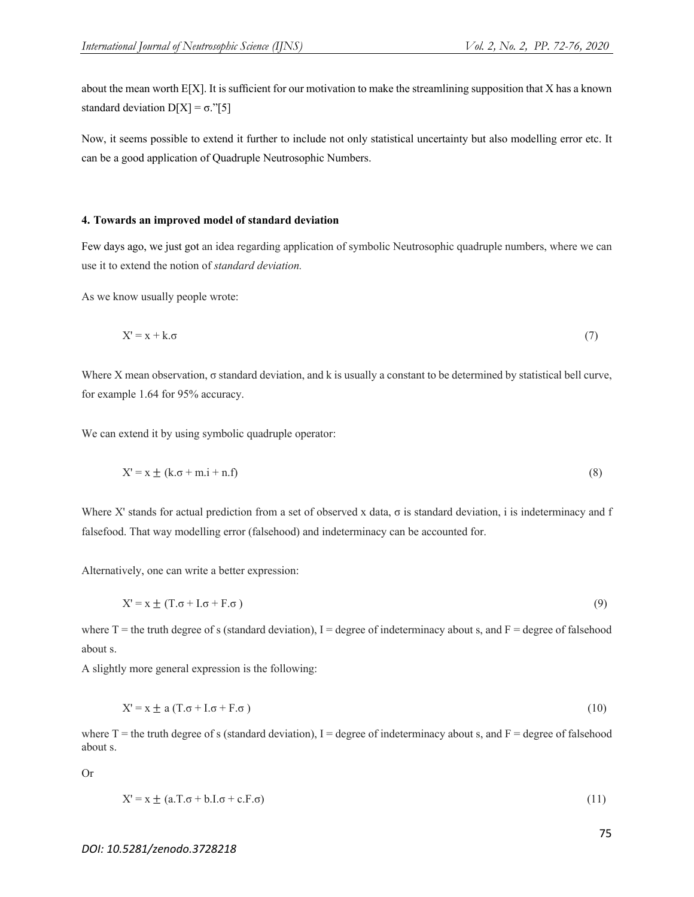Now, it seems possible to extend it further to include not only statistical uncertainty but also modelling error etc. It can be a good application of Quadruple Neutrosophic Numbers.

## **4. Towards an improved model of standard deviation**

Few days ago, we just got an idea regarding application of symbolic Neutrosophic quadruple numbers, where we can use it to extend the notion of *standard deviation.*

As we know usually people wrote:

$$
X' = x + k.\sigma \tag{7}
$$

Where X mean observation, σ standard deviation, and k is usually a constant to be determined by statistical bell curve, for example 1.64 for 95% accuracy.

We can extend it by using symbolic quadruple operator:

$$
X' = x \pm (k.\sigma + m.i + n.f)
$$
\n<sup>(8)</sup>

Where X' stands for actual prediction from a set of observed x data,  $\sigma$  is standard deviation, i is indeterminacy and f falsefood. That way modelling error (falsehood) and indeterminacy can be accounted for.

Alternatively, one can write a better expression:

$$
X' = x \pm (T.\sigma + I.\sigma + F.\sigma) \tag{9}
$$

where  $T =$  the truth degree of s (standard deviation), I = degree of indeterminacy about s, and  $F =$  degree of falsehood about s.

A slightly more general expression is the following:

$$
X' = x \pm a (T \cdot \sigma + I \cdot \sigma + F \cdot \sigma) \tag{10}
$$

where  $T =$  the truth degree of s (standard deviation), I = degree of indeterminacy about s, and  $F =$  degree of falsehood about s.

Or

$$
X' = x \pm (a \cdot T \cdot \sigma + b \cdot I \cdot \sigma + c \cdot F \cdot \sigma) \tag{11}
$$